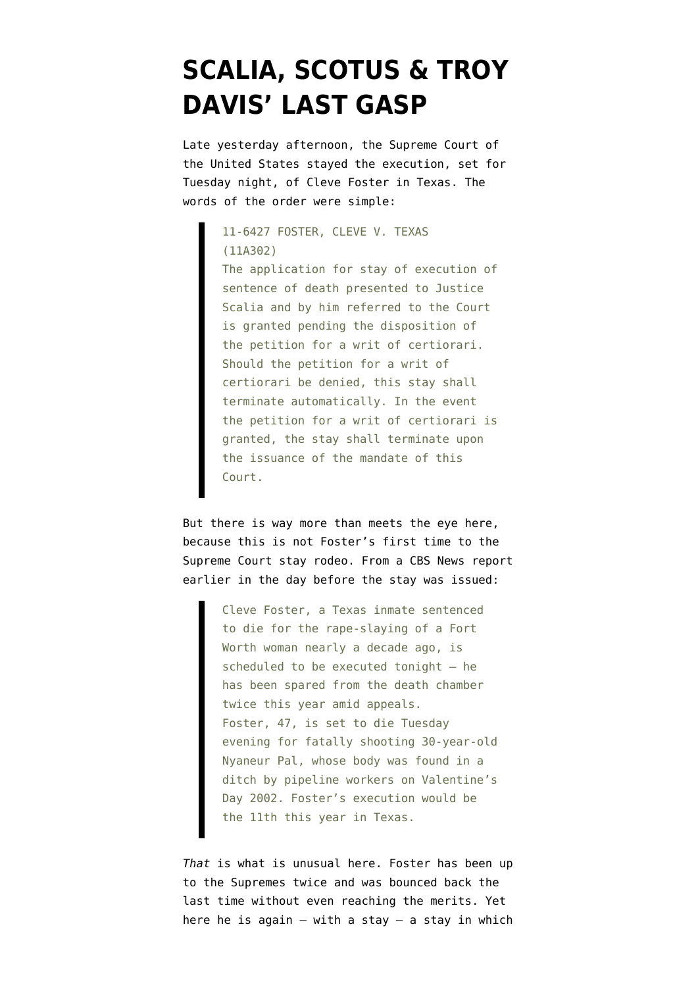## **[SCALIA, SCOTUS & TROY](https://www.emptywheel.net/2011/09/21/scalia-scotus-troy-davis-last-gasp/) [DAVIS' LAST GASP](https://www.emptywheel.net/2011/09/21/scalia-scotus-troy-davis-last-gasp/)**

Late yesterday afternoon, the Supreme Court of the United States stayed the execution, set for Tuesday night, of Cleve Foster in Texas. The words of the order were simple:

> 11-6427 FOSTER, CLEVE V. TEXAS (11A302) The application for stay of execution of sentence of death presented to Justice Scalia and by him referred to the Court is granted pending the disposition of the petition for a writ of certiorari. Should the petition for a writ of certiorari be denied, this stay shall terminate automatically. In the event the petition for a writ of certiorari is granted, the stay shall terminate upon the issuance of the mandate of this Court.

But there is way more than meets the eye here, because this is not Foster's first time to the Supreme Court stay rodeo. From a [CBS News report](http://www.cbsnews.com/8301-504083_162-20108855-504083.html) earlier in the day before the stay was issued:

> Cleve Foster, a Texas inmate sentenced to die for the rape-slaying of a Fort Worth woman nearly a decade ago, is scheduled to be executed tonight – he has been spared from the death chamber twice this year amid appeals. Foster, 47, is set to die Tuesday evening for fatally shooting 30-year-old Nyaneur Pal, whose body was found in a ditch by pipeline workers on Valentine's Day 2002. Foster's execution would be the 11th this year in Texas.

*That* is what is unusual here. Foster has been up to the Supremes twice and was bounced back the last time without even reaching the merits. Yet here he is again  $-$  with a stay  $-$  a stay in which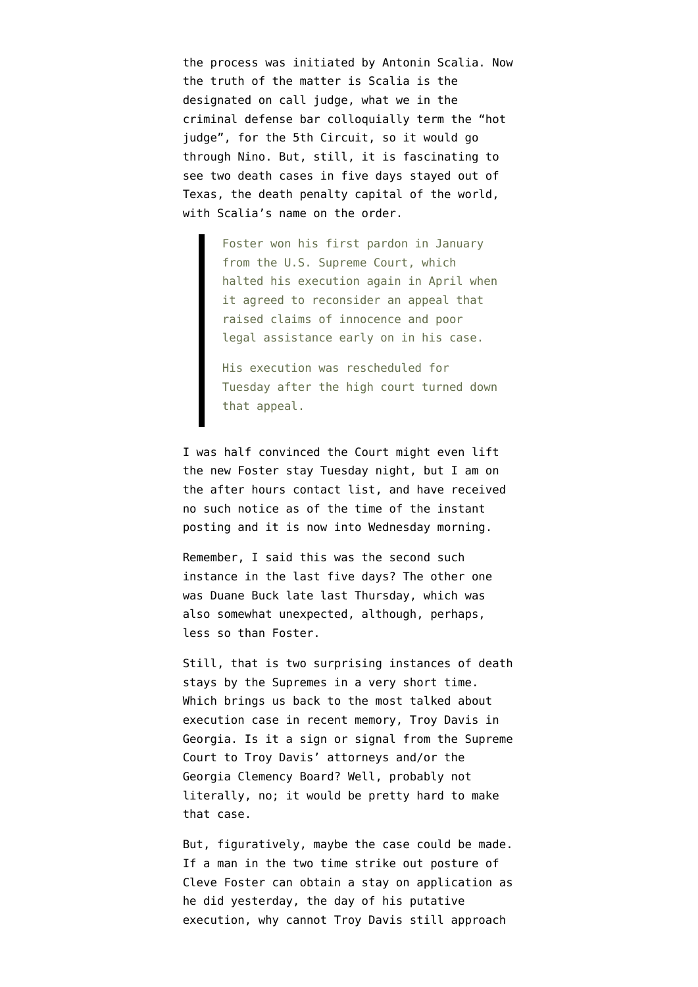the process was initiated by Antonin Scalia. Now the truth of the matter is Scalia is the designated on call judge, what we in the criminal defense bar colloquially term the "hot judge", for the 5th Circuit, so it would go through Nino. But, still, it is fascinating to see two death cases in five days stayed out of Texas, the death penalty capital of the world, with Scalia's name on the order.

> Foster won his first pardon in January from the U.S. Supreme Court, which halted his execution again in April when it agreed to reconsider an appeal that raised claims of innocence and poor legal assistance early on in his case.

His execution was rescheduled for Tuesday after the high court turned down that appeal.

I was half convinced the Court might even lift the new Foster stay Tuesday night, but I am on the after hours contact list, and have received no such notice as of the time of the instant posting and it is now into Wednesday morning.

Remember, I said this was the second such instance in the last five days? The other one was [Duane Buck late last Thursday,](http://www.cbsnews.com/stories/2011/09/15/national/main20107049.shtml) which was also somewhat unexpected, although, perhaps, less so than Foster.

Still, that is two surprising instances of death stays by the Supremes in a very short time. Which brings us back to the most talked about execution case in recent memory, [Troy Davis in](http://en.wikipedia.org/wiki/Troy_Davis_case) [Georgia.](http://en.wikipedia.org/wiki/Troy_Davis_case) Is it a sign or signal from the Supreme Court to Troy Davis' attorneys and/or the Georgia Clemency Board? Well, probably not literally, no; it would be pretty hard to make that case.

But, figuratively, maybe the case could be made. If a man in the two time strike out posture of Cleve Foster can obtain a stay on application as he did yesterday, the day of his putative execution, why cannot [Troy Davis](http://www.thenation.com/article/163522/killing-troy-davis) still approach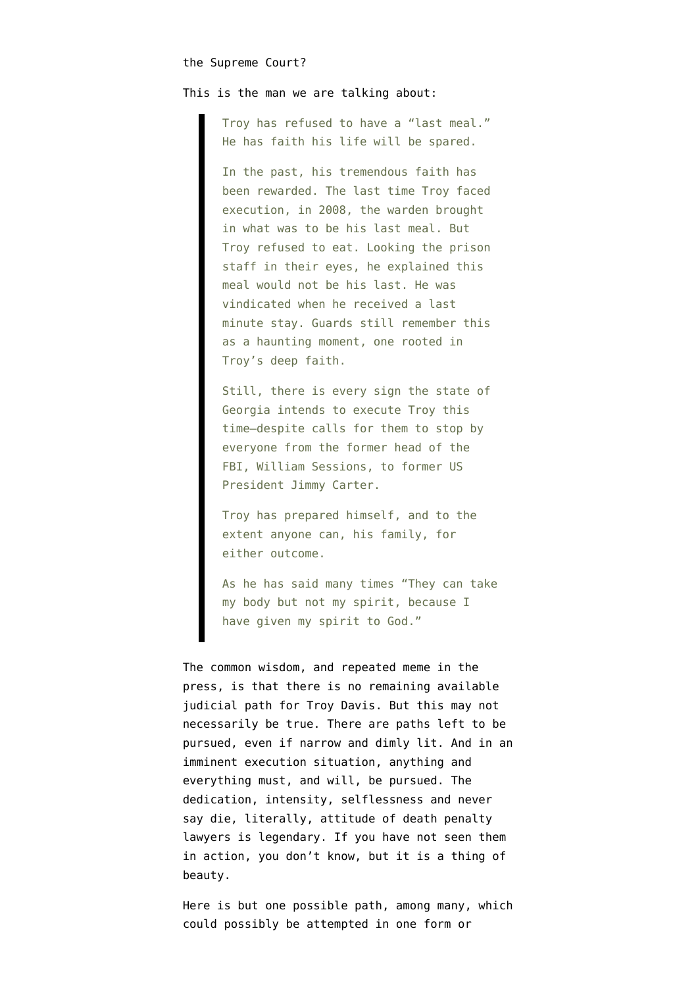## the Supreme Court?

## This is the [man we are talking about](http://www.naacp.org/blog/entry/troy-davis-will-refuse-his-last-meal):

Troy has refused to have a "last meal." He has faith his life will be spared.

In the past, his tremendous faith has been rewarded. The last time Troy faced execution, in 2008, the warden brought in what was to be his last meal. But Troy refused to eat. Looking the prison staff in their eyes, he explained this meal would not be his last. He was vindicated when he received a last minute stay. Guards still remember this as a haunting moment, one rooted in Troy's deep faith.

Still, there is every sign the state of Georgia intends to execute Troy this time–despite calls for them to stop by everyone from the former head of the FBI, William Sessions, to former US President Jimmy Carter.

Troy has prepared himself, and to the extent anyone can, his family, for either outcome.

As he has said many times "They can take my body but not my spirit, because I have given my spirit to God."

The common wisdom, and repeated meme in the press, is that there is no remaining available judicial path for Troy Davis. But this may not necessarily be true. There are paths left to be pursued, even if narrow and dimly lit. And in an imminent execution situation, anything and everything must, and will, be pursued. The dedication, intensity, selflessness and never say die, literally, attitude of death penalty lawyers is legendary. If you have not seen them in action, you don't know, but it is a thing of beauty.

Here is but one possible path, among many, which could possibly be attempted in one form or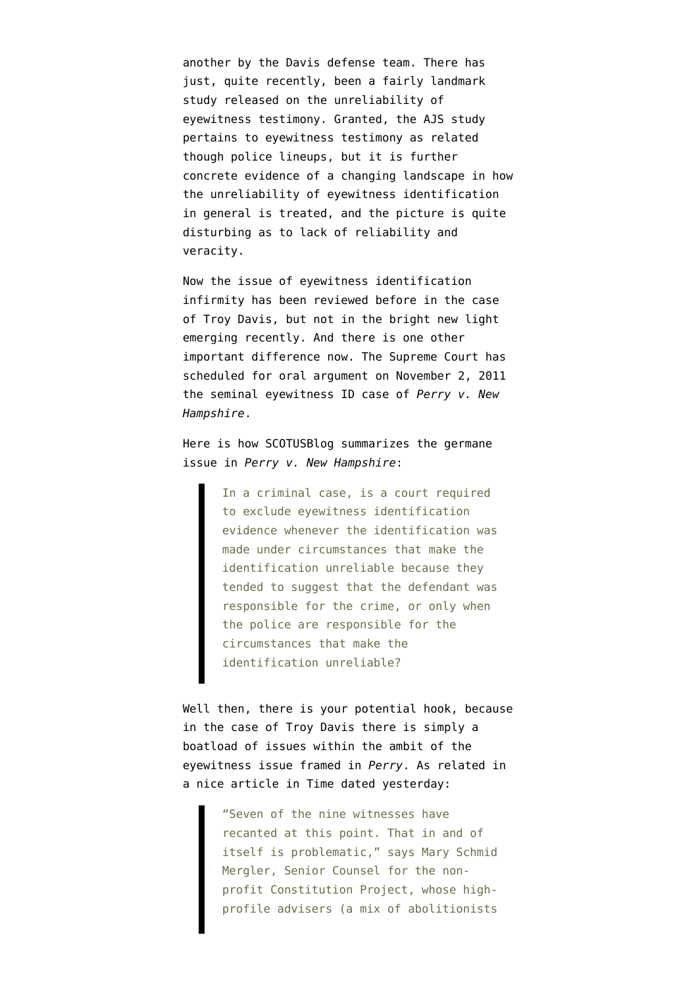another by the Davis defense team. There has just, quite recently, been a fairly landmark study released on the [unreliability of](http://www.innocenceproject.org/Content/Sequential_Lineups_Are_More_Accurate_According_to_Groundbreaking_Report_on_Eyewitness_Identification_Procedures.php) [eyewitness testimony](http://www.innocenceproject.org/Content/Sequential_Lineups_Are_More_Accurate_According_to_Groundbreaking_Report_on_Eyewitness_Identification_Procedures.php). Granted, the AJS study pertains to eyewitness testimony as related though police lineups, but it is further concrete evidence of a changing landscape in how the unreliability of eyewitness identification in general is treated, and the [picture is quite](http://www.nytimes.com/2011/08/29/us/29witness.html?_r=3&hp=&pagewanted=all) [disturbing as to lack of reliability and](http://www.nytimes.com/2011/08/29/us/29witness.html?_r=3&hp=&pagewanted=all) [veracity.](http://www.nytimes.com/2011/08/29/us/29witness.html?_r=3&hp=&pagewanted=all)

Now the issue of eyewitness identification infirmity has been reviewed before in the case of Troy Davis, but not in the bright new light emerging recently. And there is one other important difference now. The Supreme Court has scheduled for oral argument on November 2, 2011 the seminal eyewitness ID case of *Perry v. New Hampshire*.

Here is how [SCOTUSBlog summarizes the germane](http://www.scotusblog.com/case-files/cases/perry-v-new-hampshire/) [issue in](http://www.scotusblog.com/case-files/cases/perry-v-new-hampshire/) *[Perry v. New Hampshire](http://www.scotusblog.com/case-files/cases/perry-v-new-hampshire/)*:

> In a criminal case, is a court required to exclude eyewitness identification evidence whenever the identification was made under circumstances that make the identification unreliable because they tended to suggest that the defendant was responsible for the crime, or only when the police are responsible for the circumstances that make the identification unreliable?

Well then, there is your potential hook, because in the case of Troy Davis there is simply a boatload of issues within the ambit of the eyewitness issue framed in *Perry*. As related in a [nice article in Time](http://www.time.com/time/nation/article/0,8599,2094103,00.html?iid=pf-main-mostpop1) dated yesterday:

> "Seven of the nine witnesses have recanted at this point. That in and of itself is problematic," says Mary Schmid Mergler, Senior Counsel for the nonprofit Constitution Project, whose highprofile advisers (a mix of abolitionists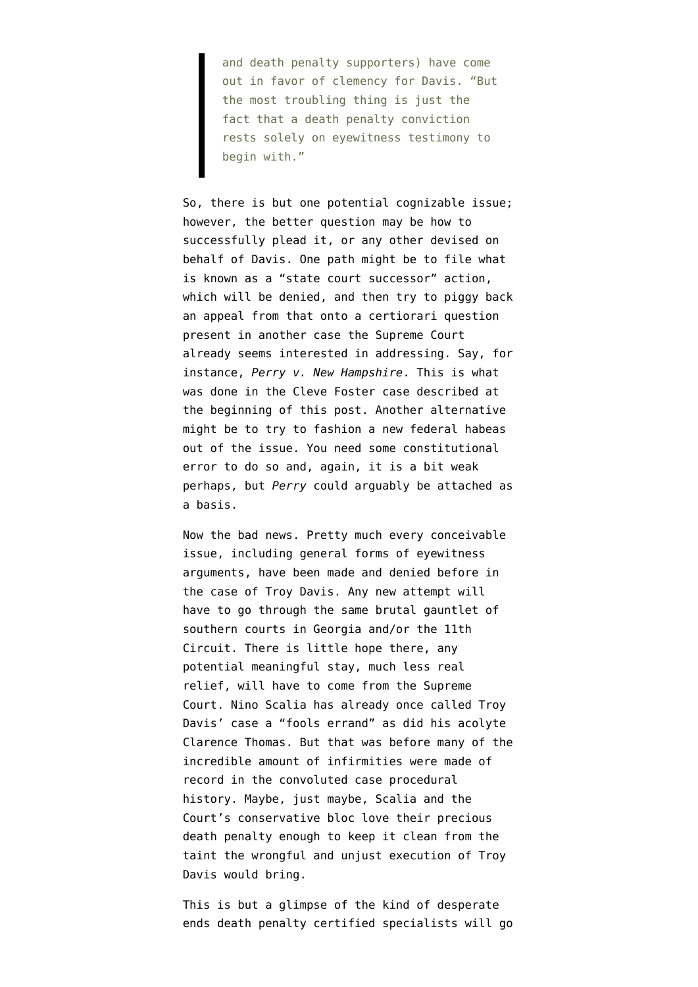and death penalty supporters) have come out in favor of clemency for Davis. "But the most troubling thing is just the fact that a death penalty conviction rests solely on eyewitness testimony to begin with."

So, there is but one potential cognizable issue; however, the better question may be how to successfully plead it, or any other devised on behalf of Davis. One path might be to file what is known as a "state court successor" action, which will be denied, and then try to piggy back an appeal from that onto a certiorari question present in another case the Supreme Court already seems interested in addressing. Say, for instance, *Perry v. New Hampshire*. This is what was done in the Cleve Foster case described at the beginning of this post. Another alternative might be to try to fashion a new federal habeas out of the issue. You need some constitutional error to do so and, again, it is a bit weak perhaps, but *Perry* could arguably be attached as a basis.

Now the bad news. Pretty much every conceivable issue, including general forms of eyewitness arguments, have been made and denied before in the case of Troy Davis. Any new attempt will have to go through the same brutal gauntlet of southern courts in Georgia and/or the 11th Circuit. There is little hope there, any potential meaningful stay, much less real relief, will have to come from the Supreme Court. Nino Scalia has already once called Troy Davis' case a "fools errand" as did his acolyte Clarence Thomas. But that was before many of the incredible amount of infirmities were made of record in the convoluted case procedural history. Maybe, just maybe, Scalia and the Court's conservative bloc love their precious death penalty enough to keep it clean from the taint the wrongful and unjust execution of Troy Davis would bring.

This is but a glimpse of the kind of desperate ends death penalty certified specialists will go